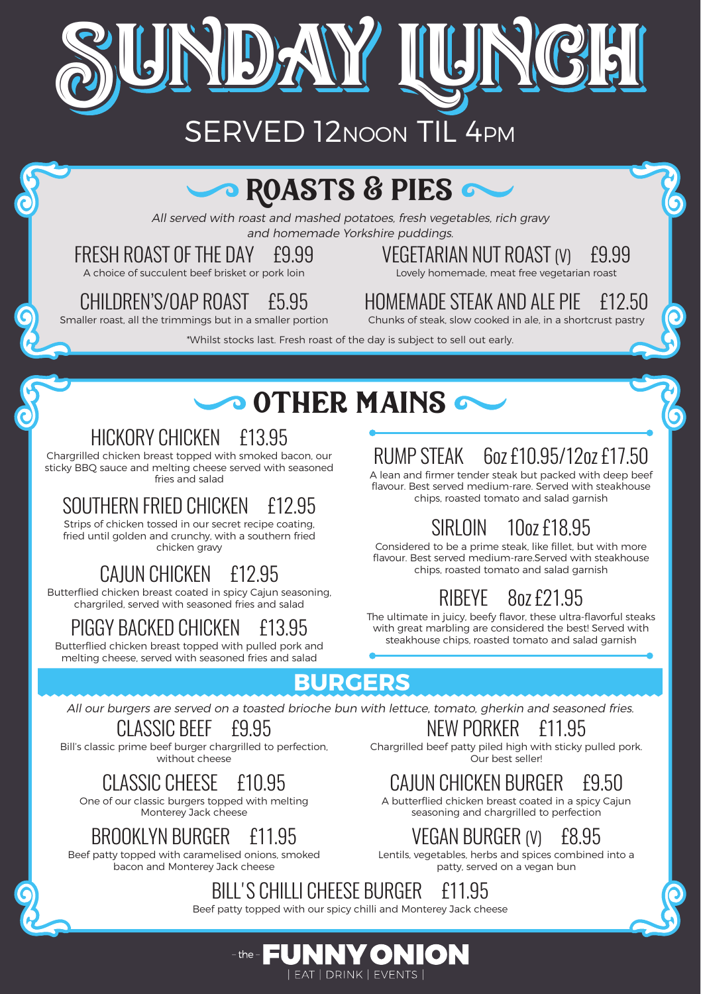

## $\bullet$  ROASTS & PIES  $\sim$

All served with roast and mashed potatoes, fresh vegetables, rich gravy and homemade Yorkshire puddings.

#### FRESH ROAST OF THE DAY £9.99

A choice of succulent beef brisket or pork loin

#### VEGETARIAN NUT ROAST (V) £9.99 Lovely homemade, meat free vegetarian roast

CHILDREN'S/OAP ROAST £5.95

Smaller roast, all the trimmings but in a smaller portion

HOMEMADE STEAK AND ALE PIE £12.50

Chunks of steak, slow cooked in ale, in a shortcrust pastry

\*Whilst stocks last. Fresh roast of the day is subject to sell out early.

# $\sim$  other mains  $\sim$

#### HICKORY CHICKEN £13.95

Chargrilled chicken breast topped with smoked bacon, our sticky BBQ sauce and melting cheese served with seasoned fries and salad

### SOUTHERN FRIED CHICKEN

Strips of chicken tossed in our secret recipe coating, fried until golden and crunchy, with a southern fried chicken gravy

#### CAJUN CHICKEN £12.95

Butterflied chicken breast coated in spicy Cajun seasoning, chargriled, served with seasoned fries and salad

## PIGGY BACKED CHICKEN £13.95

Butterflied chicken breast topped with pulled pork and melting cheese, served with seasoned fries and salad

RUMP STEAK 6oz £10.95/12oz £17.50

A lean and firmer tender steak but packed with deep beef flavour. Best served medium-rare. Served with steakhouse chips, roasted tomato and salad garnish

## SIRLOIN 10oz £18.95

Considered to be a prime steak, like fillet, but with more flavour. Best served medium-rare.Served with steakhouse chips, roasted tomato and salad garnish

## RIBEYE 8oz £21.95

The ultimate in juicy, beefy flavor, these ultra-flavorful steaks with great marbling are considered the best! Served with steakhouse chips, roasted tomato and salad garnish

#### **BURGERS**

All our burgers are served on a toasted brioche bun with lettuce, tomato, gherkin and seasoned fries.

#### CLASSIC BEEF £9.95

Bill's classic prime beef burger chargrilled to perfection, without cheese

#### CLASSIC CHFFSE £10.95

One of our classic burgers topped with melting Monterey Jack cheese

#### BROOKLYN BURGER £11.95

Beef patty topped with caramelised onions, smoked bacon and Monterey Jack cheese

### NEW PORKER £11.95

Chargrilled beef patty piled high with sticky pulled pork. Our best seller!

## CAJUN CHICKEN BURGER £9.50

A butterflied chicken breast coated in a spicy Cajun seasoning and chargrilled to perfection

### VEGAN BURGER (V) £8.95

Lentils, vegetables, herbs and spices combined into a patty, served on a vegan bun



### BILL'S CHILLI CHEESE BURGER £11.95

Beef patty topped with our spicy chilli and Monterey Jack cheese

EUNNYON **LEAT LORINK LEVENTS L**